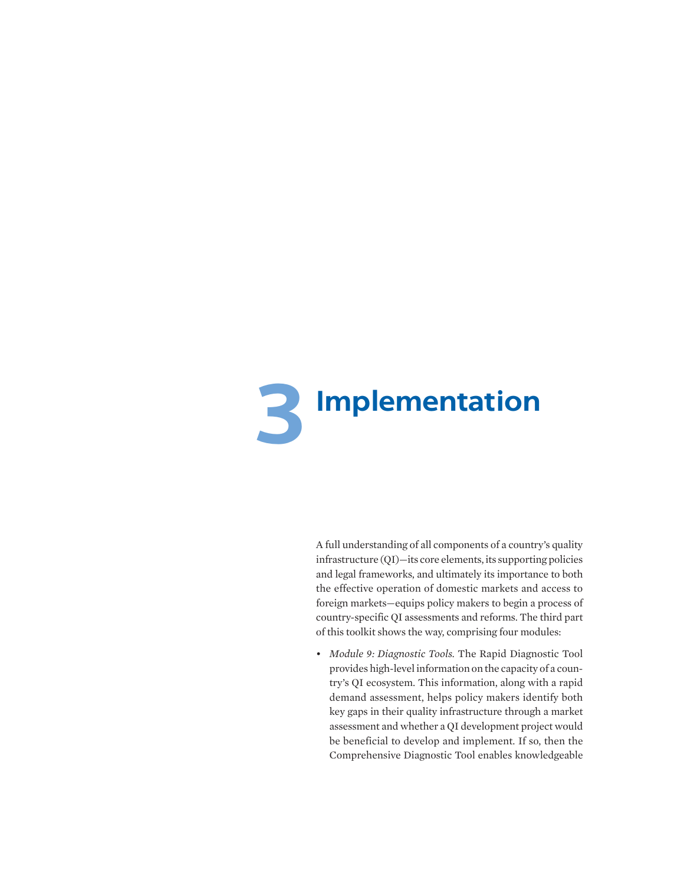

A full understanding of all components of a country's quality infrastructure (QI)—its core elements, its supporting policies and legal frameworks, and ultimately its importance to both the effective operation of domestic markets and access to foreign markets—equips policy makers to begin a process of country-specific QI assessments and reforms. The third part of this toolkit shows the way, comprising four modules:

• *Module 9: Diagnostic Tools.* The Rapid Diagnostic Tool provides high-level information on the capacity of a country's QI ecosystem. This information, along with a rapid demand assessment, helps policy makers identify both key gaps in their quality infrastructure through a market assessment and whether a QI development project would be beneficial to develop and implement. If so, then the Comprehensive Diagnostic Tool enables knowledgeable